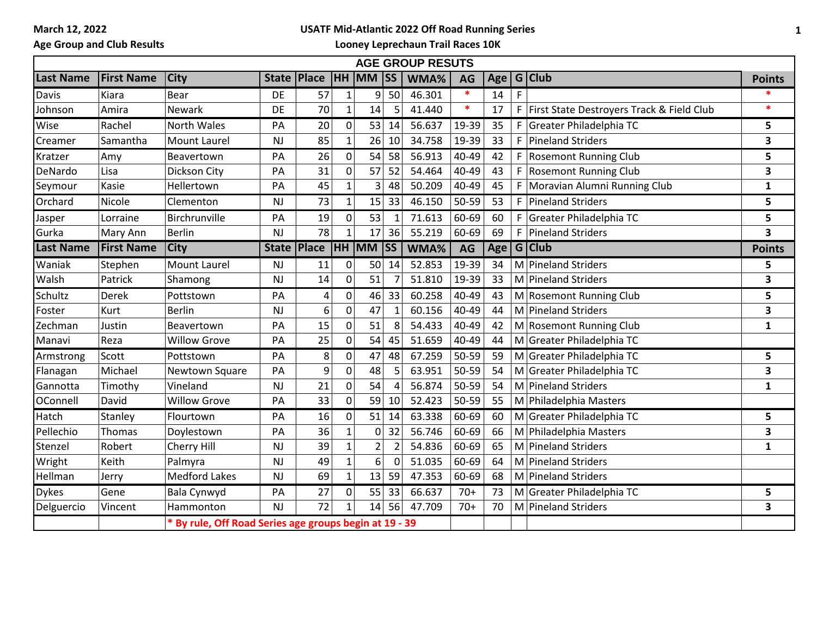**March 12, 2022**

## **USATF Mid-Atlantic 2022 Off Road Running Series**

**Age Group and Club Results**

**Looney Leprechaun Trail Races 10K**

| <b>AGE GROUP RESUTS</b> |                   |                                                        |              |                |                |              |                       |        |        |     |    |                                           |               |
|-------------------------|-------------------|--------------------------------------------------------|--------------|----------------|----------------|--------------|-----------------------|--------|--------|-----|----|-------------------------------------------|---------------|
| <b>Last Name</b>        | <b>First Name</b> | <b>City</b>                                            |              | State   Place  | <b>HH</b>      | <b>MM SS</b> |                       | WMA%   | AG     | Age |    | G Club                                    | <b>Points</b> |
| Davis                   | Kiara             | Bear                                                   | DE           | 57             | $\mathbf{1}$   | 9            | 50                    | 46.301 | $\ast$ | 14  | F  |                                           |               |
| Johnson                 | Amira             | Newark                                                 | DE           | 70             | 1              | 14           |                       | 41.440 | $\ast$ | 17  | F  | First State Destroyers Track & Field Club | $\ast$        |
| Wise                    | Rachel            | North Wales                                            | PA           | 20             | 0              | 53           | 14                    | 56.637 | 19-39  | 35  |    | F Greater Philadelphia TC                 | 5             |
| Creamer                 | Samantha          | <b>Mount Laurel</b>                                    | <b>NJ</b>    | 85             | $\mathbf{1}$   | 26           | 10                    | 34.758 | 19-39  | 33  | F. | <b>Pineland Striders</b>                  | 3             |
| Kratzer                 | Amy               | Beavertown                                             | PA           | 26             | 0              | 54           | 58                    | 56.913 | 40-49  | 42  |    | F Rosemont Running Club                   | 5             |
| DeNardo                 | Lisa              | Dickson City                                           | PA           | 31             | 0              | 57           | 52                    | 54.464 | 40-49  | 43  | F  | <b>Rosemont Running Club</b>              | 3             |
| Seymour                 | Kasie             | Hellertown                                             | PA           | 45             | $\overline{1}$ | 3            | 48                    | 50.209 | 40-49  | 45  | F  | Moravian Alumni Running Club              | $\mathbf{1}$  |
| Orchard                 | Nicole            | Clementon                                              | NJ           | 73             | $\mathbf{1}$   | 15           | 33                    | 46.150 | 50-59  | 53  |    | F   Pineland Striders                     | 5             |
| Jasper                  | Lorraine          | Birchrunville                                          | PA           | 19             | 0              | 53           | -1                    | 71.613 | 60-69  | 60  | F  | Greater Philadelphia TC                   | 5             |
| Gurka                   | Mary Ann          | <b>Berlin</b>                                          | NJ           | 78             | $\mathbf{1}$   | 17           | 36                    | 55.219 | 60-69  | 69  | F. | <b>Pineland Striders</b>                  | 3             |
| <b>Last Name</b>        | <b>First Name</b> | <b>City</b>                                            | <b>State</b> | Place          | <b>HH</b>      | <b>MM</b>    | <b>SS</b>             | WMA%   | AG     | Age |    | $G$ Club                                  | <b>Points</b> |
| Waniak                  | Stephen           | <b>Mount Laurel</b>                                    | NJ           | 11             | 0              | 50           | 14                    | 52.853 | 19-39  | 34  |    | M Pineland Striders                       | 5             |
| Walsh                   | Patrick           | Shamong                                                | NJ           | 14             | 0              | 51           |                       | 51.810 | 19-39  | 33  |    | M Pineland Striders                       | 3             |
| Schultz                 | Derek             | Pottstown                                              | PA           | 4              | 0              | 46           | 33                    | 60.258 | 40-49  | 43  |    | M Rosemont Running Club                   | 5             |
| Foster                  | Kurt              | <b>Berlin</b>                                          | NJ           | $6 \mid$       | 0              | 47           |                       | 60.156 | 40-49  | 44  |    | M Pineland Striders                       | 3             |
| Zechman                 | Justin            | Beavertown                                             | PA           | 15             | 0              | 51           | 8                     | 54.433 | 40-49  | 42  |    | M Rosemont Running Club                   | $\mathbf{1}$  |
| Manavi                  | Reza              | <b>Willow Grove</b>                                    | PA           | 25             | 0              | 54           | 45                    | 51.659 | 40-49  | 44  |    | M Greater Philadelphia TC                 |               |
| Armstrong               | Scott             | Pottstown                                              | PA           | 8 <sup>1</sup> | 0              | 47           | 48                    | 67.259 | 50-59  | 59  |    | M Greater Philadelphia TC                 | 5             |
| Flanagan                | Michael           | Newtown Square                                         | PA           | 9              | 0              | 48           |                       | 63.951 | 50-59  | 54  |    | M Greater Philadelphia TC                 | 3             |
| Gannotta                | Timothy           | Vineland                                               | NJ           | 21             | $\overline{0}$ | 54           | $\boldsymbol{\Delta}$ | 56.874 | 50-59  | 54  |    | M Pineland Striders                       | $\mathbf{1}$  |
| OConnell                | David             | <b>Willow Grove</b>                                    | PA           | 33             | 0              | 59           | 10                    | 52.423 | 50-59  | 55  |    | M Philadelphia Masters                    |               |
| Hatch                   | Stanley           | Flourtown                                              | PA           | 16             | 0              | 51           | 14                    | 63.338 | 60-69  | 60  |    | M Greater Philadelphia TC                 | 5             |
| Pellechio               | Thomas            | Doylestown                                             | PA           | 36             |                | 0            | 32                    | 56.746 | 60-69  | 66  |    | M Philadelphia Masters                    | 3             |
| Stenzel                 | Robert            | Cherry Hill                                            | <b>NJ</b>    | 39             | $\mathbf{1}$   | 2            |                       | 54.836 | 60-69  | 65  |    | M Pineland Striders                       | $\mathbf{1}$  |
| Wright                  | Keith             | Palmyra                                                | NJ           | 49             | $\mathbf{1}$   | 6            | $\Omega$              | 51.035 | 60-69  | 64  |    | M Pineland Striders                       |               |
| Hellman                 | Jerry             | <b>Medford Lakes</b>                                   | NJ           | 69             | $\mathbf{1}$   | 13           | 59                    | 47.353 | 60-69  | 68  |    | M Pineland Striders                       |               |
| <b>Dykes</b>            | Gene              | <b>Bala Cynwyd</b>                                     | PA           | 27             | 0              | 55           | 33                    | 66.637 | $70+$  | 73  |    | M Greater Philadelphia TC                 | 5             |
| Delguercio              | Vincent           | Hammonton                                              | <b>NJ</b>    | 72             | 1              | 14           | 56                    | 47.709 | $70+$  | 70  |    | M Pineland Striders                       | 3             |
|                         |                   | * By rule, Off Road Series age groups begin at 19 - 39 |              |                |                |              |                       |        |        |     |    |                                           |               |